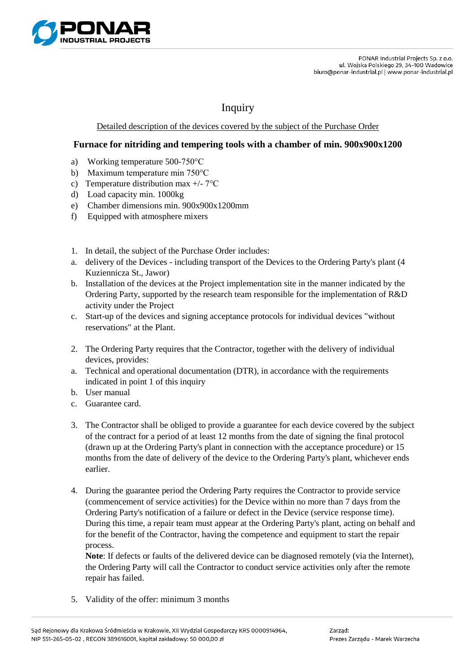

## Inquiry

## Detailed description of the devices covered by the subject of the Purchase Order

## **Furnace for nitriding and tempering tools with a chamber of min. 900x900x1200**

- a) Working temperature 500-750°C
- b) Maximum temperature min 750°C
- c) Temperature distribution max +/- 7°C
- d) Load capacity min. 1000kg
- e) Chamber dimensions min. 900x900x1200mm
- f) Equipped with atmosphere mixers
- 1. In detail, the subject of the Purchase Order includes:
- a. delivery of the Devices including transport of the Devices to the Ordering Party's plant (4 Kuziennicza St., Jawor)
- b. Installation of the devices at the Project implementation site in the manner indicated by the Ordering Party, supported by the research team responsible for the implementation of R&D activity under the Project
- c. Start-up of the devices and signing acceptance protocols for individual devices "without reservations" at the Plant.
- 2. The Ordering Party requires that the Contractor, together with the delivery of individual devices, provides:
- a. Technical and operational documentation (DTR), in accordance with the requirements indicated in point 1 of this inquiry
- b. User manual
- c. Guarantee card.
- 3. The Contractor shall be obliged to provide a guarantee for each device covered by the subject of the contract for a period of at least 12 months from the date of signing the final protocol (drawn up at the Ordering Party's plant in connection with the acceptance procedure) or 15 months from the date of delivery of the device to the Ordering Party's plant, whichever ends earlier.
- 4. During the guarantee period the Ordering Party requires the Contractor to provide service (commencement of service activities) for the Device within no more than 7 days from the Ordering Party's notification of a failure or defect in the Device (service response time). During this time, a repair team must appear at the Ordering Party's plant, acting on behalf and for the benefit of the Contractor, having the competence and equipment to start the repair process.

**Note**: If defects or faults of the delivered device can be diagnosed remotely (via the Internet), the Ordering Party will call the Contractor to conduct service activities only after the remote repair has failed.

5. Validity of the offer: minimum 3 months